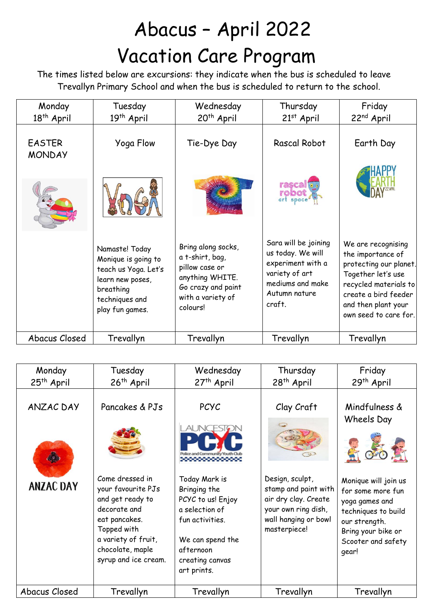## Abacus – April 2022 Vacation Care Program

 The times listed below are excursions: they indicate when the bus is scheduled to leave Trevallyn Primary School and when the bus is scheduled to return to the school.

| Monday<br>18 <sup>th</sup> April | Tuesday<br>19 <sup>th</sup> April                                                                                                   | Wednesday<br>20 <sup>th</sup> April                                                                                               | Thursday<br>$21st$ April                                                                                                        | Friday<br>22 <sup>nd</sup> April                                                                                                                                                         |
|----------------------------------|-------------------------------------------------------------------------------------------------------------------------------------|-----------------------------------------------------------------------------------------------------------------------------------|---------------------------------------------------------------------------------------------------------------------------------|------------------------------------------------------------------------------------------------------------------------------------------------------------------------------------------|
| <b>EASTER</b><br><b>MONDAY</b>   | Yoga Flow                                                                                                                           | Tie-Dye Day                                                                                                                       | Rascal Robot                                                                                                                    | Earth Day                                                                                                                                                                                |
|                                  |                                                                                                                                     |                                                                                                                                   | rasca<br>robot                                                                                                                  |                                                                                                                                                                                          |
|                                  | Namaste! Today<br>Monique is going to<br>teach us Yoga. Let's<br>learn new poses,<br>breathing<br>techniques and<br>play fun games. | Bring along socks,<br>a t-shirt, bag,<br>pillow case or<br>anything WHITE.<br>Go crazy and paint<br>with a variety of<br>colours! | Sara will be joining<br>us today. We will<br>experiment with a<br>variety of art<br>mediums and make<br>Autumn nature<br>craft. | We are recognising<br>the importance of<br>protecting our planet.<br>Together let's use<br>recycled materials to<br>create a bird feeder<br>and then plant your<br>own seed to care for. |
| Abacus Closed                    | Trevallyn                                                                                                                           | Trevallyn                                                                                                                         | Trevallyn                                                                                                                       | Trevallyn                                                                                                                                                                                |

| Monday<br>25 <sup>th</sup> April | Tuesday<br>26 <sup>th</sup> April                                                                                                                                            | Wednesday<br>27 <sup>th</sup> April                                                                                                                        | Thursday<br>28 <sup>th</sup> April                                                                                             | Friday<br>29th April                                                                                                                                     |
|----------------------------------|------------------------------------------------------------------------------------------------------------------------------------------------------------------------------|------------------------------------------------------------------------------------------------------------------------------------------------------------|--------------------------------------------------------------------------------------------------------------------------------|----------------------------------------------------------------------------------------------------------------------------------------------------------|
|                                  |                                                                                                                                                                              |                                                                                                                                                            |                                                                                                                                |                                                                                                                                                          |
| <b>ANZAC DAY</b>                 | Pancakes & PJs                                                                                                                                                               | <b>PCYC</b>                                                                                                                                                | Clay Craft                                                                                                                     | Mindfulness &<br>Wheels Day                                                                                                                              |
|                                  |                                                                                                                                                                              |                                                                                                                                                            |                                                                                                                                |                                                                                                                                                          |
| <b>ANZAC DAY</b>                 | Come dressed in<br>your favourite PJs<br>and get ready to<br>decorate and<br>eat pancakes.<br>Topped with<br>a variety of fruit,<br>chocolate, maple<br>syrup and ice cream. | Today Mark is<br>Bringing the<br>PCYC to us! Enjoy<br>a selection of<br>fun activities.<br>We can spend the<br>afternoon<br>creating canvas<br>art prints. | Design, sculpt,<br>stamp and paint with<br>air dry clay. Create<br>your own ring dish,<br>wall hanging or bowl<br>masterpiece! | Monique will join us<br>for some more fun<br>yoga games and<br>techniques to build<br>our strength.<br>Bring your bike or<br>Scooter and safety<br>gear! |
| Abacus Closed                    | Trevallyn                                                                                                                                                                    | Trevallyn                                                                                                                                                  | Trevallyn                                                                                                                      | Trevallyn                                                                                                                                                |